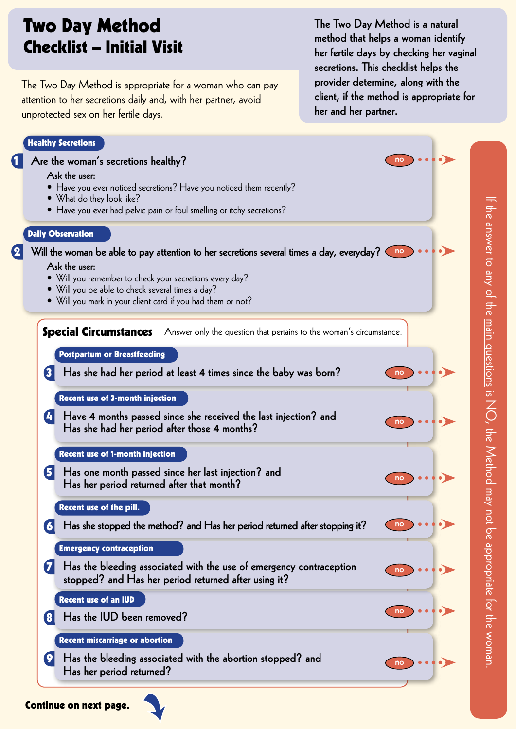# Two Day Method Checklist – Initial Visit

The Two Day Method is appropriate for a woman who can pay attention to her secretions daily and, with her partner, avoid unprotected sex on her fertile days.

The Two Day Method is a natural method that helps a woman identify her fertile days by checking her vaginal secretions. This checklist helps the provider determine, along with the client, if the method is appropriate for her and her partner.

# Healthy Secretions

Continue on next page.